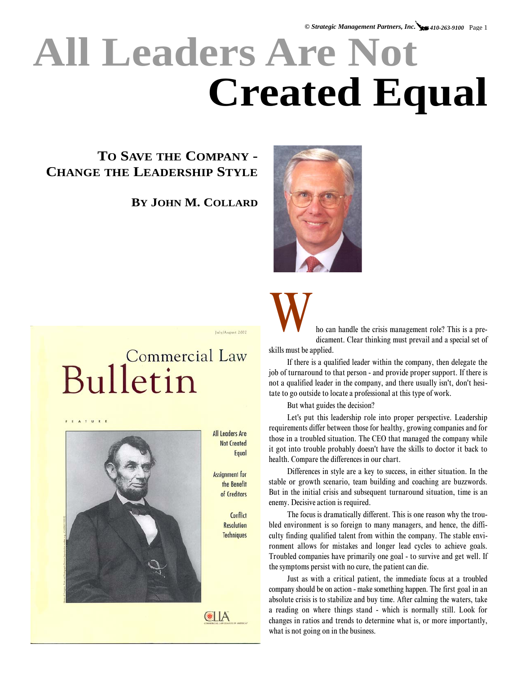## **All Leaders Are Not Created Equal**

## **TO SAVE THE COMPANY - CHANGE THE LEADERSHIP STYLE**

**BY JOHN M. COLLARD**



IntelAmount 2002

## Commercial Law Bulletin



**All Leaders Are Not Created** Equal

**Assignment** for the Benefit of Creditors

> Conflict **Resolution Techniques**

CLA



ho can handle the crisis management role? This is a predicament. Clear thinking must prevail and a special set of skills must be applied.

If there is a qualified leader within the company, then delegate the job of turnaround to that person - and provide proper support. If there is not a qualified leader in the company, and there usually isn't, don't hesitate to go outside to locate a professional at this type of work.

But what guides the decision?

Let's put this leadership role into proper perspective. Leadership requirements differ between those for healthy, growing companies and for those in a troubled situation. The CEO that managed the company while it got into trouble probably doesn't have the skills to doctor it back to health. Compare the differences in our chart.

Differences in style are a key to success, in either situation. In the stable or growth scenario, team building and coaching are buzzwords. But in the initial crisis and subsequent turnaround situation, time is an enemy. Decisive action is required.

The focus is dramatically different. This is one reason why the troubled environment is so foreign to many managers, and hence, the difficulty finding qualified talent from within the company. The stable environment allows for mistakes and longer lead cycles to achieve goals. Troubled companies have primarily one goal - to survive and get well. If the symptoms persist with no cure, the patient can die.

Just as with a critical patient, the immediate focus at a troubled company should be on action - make something happen. The first goal in an absolute crisis is to stabilize and buy time. After calming the waters, take a reading on where things stand - which is normally still. Look for changes in ratios and trends to determine what is, or more importantly, what is not going on in the business.